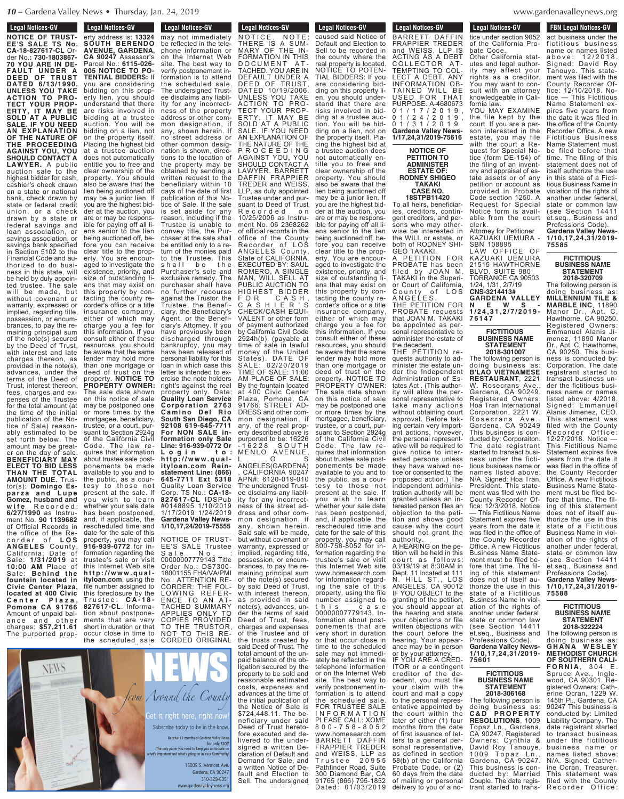**Legal Notices-GV** charges: **\$57,211.61 Legal Notices-GV NOTICE OF TRUST-EE'S SALE TS No.** CA-18-827617-CL der No.**: 730-1803867- 70 YOU ARE IN DE-FAULT UNDER A DEED OF TRUST DATED 6/13/1990. UNLESS YOU TAKE ACTION TO PRO-TECT YOUR PROP-ERTY, IT MAY BE SOLD AT A PUBLIC SALE. IF YOU NEED AN EXPLANATION OF THE NATURE OF THE PROCEEDING AGAINST YOU, YOU SHOULD CONTACT A LAWYER.** A public auction sale to the highest bidder for cash, cashier's check drawn on a state or national bank, check drawn by state or federal credit union, or a check drawn by a state or federal savings and loan association, or savings association, or savings bank specified in Section 5102 to the Financial Code and authorized to do business in this state, will be held by duly appointed trustee. The sale will be made, but without covenant or warranty, expressed or implied, regarding title, possession, or encumbrances, to pay the remaining principal sum of the note(s) secured by the Deed of Trust, with interest and late charges thereon, as provided in the note(s), advances, under the terms of the Deed of Trust, interest thereon, fees, charges and expenses of the Trustee for the total amount (at the time of the initial publication of the Notice of Sale) reasonably estimated to be set forth below. The amount may be greater on the day of sale. **BENEFICIARY MAY ELECT TO BID LESS THAN THE TOTAL AMOUNT DUE.** Trustor(s): **Domingo Esp a r z a a n d L u p e Gomez, husband and w i f e** R e c o r d e d : **6/27/1990** as Instrument No. **90 1139682** of Official Records in the office of the Re-<br>corder of  $\log$ c o r d e r o f **L O S ANGELES** County , California; Date of Sale: **1/31/2019** at **10:00 AM** Place of Behind the **fountain located in Civic Center Plaza, located at 400 Civic C e n t e r P l a z a , Pomona CA 91766** Amount of unpaid bal-<br>ance and other a n c e a n d o t h e r charges: **\$57,211.61** The purported prop-

Legal Nutries-GV erty address is: **13324 SOUTH BERENDO AVENUE, GARDENA, CA 90247** Assessor's Parcel No.: **6115-026- 005 NOTICE TO PO-TENTIAL BIDDERS:** If you are considering bidding on this property lien, you should understand that there are risks involved in bidding at a trustee auction. You will be bidding on a lien, not on the property itself. Placing the highest bid at a trustee auction does not automatically entitle you to free and clear ownership of the property. You should also be aware that the lien being auctioned off may be a junior lien. If you are the highest bidder at the auction, you are or may be responsible for paying off all liens senior to the lien being auctioned off, before you can receive clear title to the property. You are encouraged to investigate the existence, priority, and size of outstanding liens that may exist on this property by contacting the county recorder's office or a title insurance company, either of which may charge you a fee for this information. If you consult either of these resources, you should be aware that the same lender may hold more than one mortgage or deed of trust on the property. **NOTICE TO PROPERTY OWNER:** The sale date shown on this notice of sale may be postponed one or more times by the mortgagee, beneficiary, trustee, or a court, pursuant to Section 2924g of the California Civil Code. The law requires that information about trustee sale postponements be made available to you and to the public, as a courtesy to those not present at the sale. If you wish to learn whether your sale date has been postponed, and, if applicable, the rescheduled time and date for the sale of this property, you may call **916-939-0772** for information regarding the trustee's sale or visit this Internet Web site **h t t p : / / w w w . q u a l ityloan.com**, using the file number assigned to this foreclosure by the T r u s t e e : **C A - 1 8 - 827617-CL**. Information about postponements that are very short in duration or that occur close in time to

**Legal Notices-GV** Legal Nutries-dv may not immediately be reflected in the telephone information or on the Internet Web site. The best way to verify postponement information is to attend the scheduled sale. The undersigned Trustee disclaims any liability for any incorrectness of the property address or other common designation, if any, shown herein. If no street address or other common designation is shown, directions to the location of property may be obtained by sending a written request to the beneficiary within 10 days of the date of first publication of this Notice of Sale. If the sale is set aside for any reason, including if the Trustee is unable to convey title, the Purchaser at the sale shall be entitled only to a return of the monies paid to the Trustee. This shall be the Purchaser's sole and exclusive remedy. The purchaser shall have no further recourse against the Trustor, the Trustee, the Beneficiary, the Beneficiary's Agent, or the Beneficiary's Attorney. If you have previously been discharged through bankruptcy, you may have been released of personal liability for this loan in which case this letter is intended to exercise the note holders right's against the real property only. Date: **Quality Loan Service Corporation 2763 C a m i n o D e l R i o South San Diego, CA 92108 619-645-7711 For NON SALE information only Sale Line: 916-939-0772 Or L o g i n t o : h t t p : / / w w w . q u a l ityloan.com Reinstatement Line: (866) 645-7711 Ext 5318** Quality Loan Service Corp. TS No.: **CA-18- 827617-CL** IDSPub #0148895 1/10/2019 1/17/2019 1/24/2019 **Gardena Valley News-1/10,17,24/2019-75555** NOTICE OF TRUST-EE'S SALE Trustee Sale No. : 00000007779143 Title Order No.: DS7300- 18001155 FHA/VA/PMI No.: ATTENTION RE-CORDER: THE FOL-LOWING REFER-ENCE TO AN AT-TACHED SUMMARY APPLIES ONLY TO COPIES PROVIDED TO THE TRUSTOR, NOT TO THIS RE-CORDED ORIGINAL N O T I C E . N O T E . N O T E . N O T E . N O T E . N O T E . N O T E . N O T E . N O T E . N O T E . N O T THE REAL PROPERTY. MARY OF THE IN-

**Legal Notices-GV** Legal Nutices-GV N O TIC E. N O T E:<br>THERE IS A SUM-<br>MARY OF THE IN-THERE IS A SUM-MARY OF THE IN-FORMATION IN THIS D O C U M E N T TACHED. YOU ARE IN DEFAULT UNDER A DEED OF TRUST, DATED 10/19/2006. UNLESS YOU TAKE ACTION TO PRO-TECT YOUR PROP-ERTY, IT MAY BE SOLD AT A PUBLIC SALE. IF YOU NEED AN EXPLANATION OF THE NATURE OF THE P R O C E E D I N G AGAINST YOU, YOU SHOULD CONTACT A LAWYER. BARRETT DAFFIN FRAPPIER TREDER and WEISS<br>LLP as duly appointed as duly appointed Trustee under and pursuant to Deed of Trust<br>Recorded on R e c o r d e d 10/25/2006 as Instrument No. 06 2368262 of official records in the office of the County Recorder of LOS ANGELES County, State of CALIFORNIA. EXECUTED BY: SAUL ROMERO, A SINGLE MAN, WILL SELL AT PUBLIC AUCTION TO HIGHEST BIDDER F O R C A S H , C A S H I E R ' S CHECK/CASH EQUI-VALENT or other form of payment authorized by California Civil Code 2924h(b), (payable at time of sale in lawful money of the United States). DATE OF SALE: 02/20/2019 TIME OF SALE: 11:00 AM PLACE OF SALE: By the fountain located at 400 Civic Center Plaza, Pomona, CA 91766. STREET AD-DRESS and other common designation, if any, of the real property described above is purported to be: 16226 - 1 6 2 2 8 S O U T H MENLO AVENUE, L O S ANGELES(GARDENA) , CALIFORNIA 90247 APN#: 6120-019-010 The undersigned Trustee disclaims any liability for any incorrectness of the street address and other common designation, if any, shown herein. Said sale will be made, but without covenant or warranty, expressed or implied, regarding title, possession, or encumbrances, to pay the remaining principal sum of the note(s) secured by said Deed of Trust, with interest thereon, as provided in said note(s), advances, under the terms of said Deed of Trust, fees, charges and expenses of the Trustee and of the trusts created by said Deed of Trust. The total amount of the unpaid balance of the obligation secured by the property to be sold and reasonable estimated costs, expenses and advances at the time of the initial publication of the Notice of Sale is \$724,448.11. The beneficiary under said Deed of Trust heretofore executed and delivered to the undersigned a written Declaration of Default and Demand for Sale, and a written Notice of Default and Election to

Sell. The undersigned

**1765 Legal Notices-GV** Legal Nutrices-QV BARRETT DAFFIN FRAPPIER TREDER and WEISS, LLP ACTING AS A DEBT<br>COLLECTOR AT-COLLECTOR AT-TEMPTING TO COL-LECT A DEBT. ANY INFORMATION OB-<br>TAINED WILL BE TAINED WILL BE USED FOR THAT PURPOSE. A-4680673 0 1 / 1 7 / 2 0 1 9 , 0 1 / 2 4 / 2 0 1 9 , 0 1 / 3 1 / 2 0 1 9 **Gardena Valley News-1/17,24,31/2019-75616** To all heirs, beneficiaries, creditors, contingent creditors, and persons who may otherwise be interested in the WILL or estate, or both of RODNEY SHI-GEO TAKAKI. A N G E L E S . that JOAN M. TAKAKI be appointed as personal representative to administer the estate of the decedent. THE PETITION requests authority to adauthority. or by your attorney. IF YOU ARE A CRED-ITOR or a contingent creditor of the decedent, you must file your claim with the court and mail a copy to the personal representative appointed by the court within the later of either (1) four months from the date of first issuance of letters to a general personal representative. as defined in section 58(b) of the California Probate Code, or (2) 60 days from the date of mailing or personal delivery to you of a no-**Elegal Notices-GV Eleval Nutries-GV** caused said Notice of Default and Election to Sell to be recorded in the county where the real property is located. NOTICE TO POTEN-TIAL BIDDERS: If you are considering bidding on this property lien, you should understand that there are risks involved in bidding at a trustee auction. You will be bidding on a lien, not on the property itself. Placing the highest bid at a trustee auction does not automatically entitle you to free and clear ownership of the property. You should also be aware that the lien being auctioned off may be a junior lien. If you are the highest bidder at the auction, you are or may be responsible for paying off all liens senior to the lien being auctioned off, beyou can receive clear title to the property. You are encouraged to investigate the existence, priority, and size of outstanding liens that may exist on this property by contacting the county recorder's office or a title insurance company, either of which may charge you a fee for this information. If you consult either of these resources, you should be aware that the same lender may hold more than one mortgage or deed of trust on the property. NOTICE TO PROPERTY OWNER: The sale date shown on this notice of sale may be postponed one or more times by the mortgagee, beneficiary, trustee, or a court, pursuant to Section 2924a of the California Civil Code. The law requires that information about trustee sale postponements be made available to you and to the public, as a courtesy to those not present at the sale. If .<br>vou wish to learn whether your sale date has been postponed, and, if applicable, the rescheduled time and date for the sale of this property, you may call 800-758-8052 for information regarding the trustee's sale or visit this Internet Web site www.homesearch.com for information regard-ing the sale of this property, using the file number assigned to this case 00000007779143. Information about postponements that are very short in duration or that occur close in time to the scheduled sale may not immediately be reflected in the telephone information or on the Internet Web site. The best way to verify postponement information is to attend the scheduled sale. FOR TRUSTEE SALE I N F O R M A T I O N PLEASE CALL: XOME 8 0 0 - 7 5 8 - 8 0 5 2 www.homesearch.com BARRETT DAFFIN FRAPPIER TREDER and WEISS, LLP as Trustee 20955 Pathfinder Road, Suite 300 Diamond Bar, CA 91765 (866) 795-1852 Dated: 01/03/2019

**FBN Legal Notices-GV** Legal Notices-GV  $\ldots \ldots$ <sub>o</sub>.

tice under section 9052 of the California Probate Code.

Other California statutes and legal authority may affect your rights as a creditor. You may want to consult with an attorney knowledgeable in California law.

YOU MAY EXAMINE the file kept by the court. If you are a person interested in the estate, you may file with the court a Request for Special Notice (form DE-154) of the filing of an inventory and appraisal of estate assets or of any petition or account as provided in Probate Code section 1250. A Request for Special Notice form is available from the court clerk. Attorney for Petitioner

**NOTICE OF PETITION TO ADMINISTER ESTATE OF: RODNEY SHIGEO TAKAKI CASE NO. 18STPB11420**

> KAZUAKI UEMURA - SBN 108895

LAW OFFICE OF KAZUAKI UEMURA 21515 HAWTHORNE BLVD. SUITE 980 TORRANCE CA 90503 1/24, 1/31, 2/7/19 **CNS-3214413#** A PETITION FOR PROBATE has been filed by JOAN M. TAKAKI in the Superior Court of California, County of LOS THE PETITION FOR PROBATE requests

> **FICTITIOUS BUSINESS NAME STATEMENT**

The following person is doing business as: **B'LAO VIETNAMESE RESTAURANT**, 2221 W. Rosecrans Ave., Gardena, CA 90249. Registered Owners: Hoa Tran International Corporation, 2221 W. Rosecrans Ave., Gardena, CA 90249 This business is conducted by: Corporaiton. The date registrant started to transact business under the fictitious business name or names listed above: N/A. Signed: Hoa Tran, President. This statement was filed with the County Recorder Office: 12/3/2018. Notice — This Fictitious Name Statement expires five years from the date it was filed in the office of the County Recorder Office. A new Fictitious Business Name Statement must be filed before that time. The filing of this statement does not of itself au-thorize the use in this state of a Fictitious Business Name in violation of the rights of another under federal, state or common law (see Section 14411 et.seq., Business and Professions Code).

## **FICTITIOUS BUSINESS NAME STATEMENT**

The following person is doing business as: **C & D P R O P E R T Y RESOLUTIONS**, 1009 Topaz Ln., Gardena, CA 90247. Registered Owners: Cynthia & David Roy Tanouye, 1009 Topaz Ln., Gardena, CA 90247. This business is conducted by: Married Couple. The date registrant started to trans-

denavalleynews.org  $\frac{1}{2}$ Probate Code, or  $WWW, \mathcal{Q}$ 

> **TRANT START START START START START START START START START START START START START START START START START ST** act business under the

fictitious business name or names listed  $above: 12/2018$ Signed: David Roy Tanouye. This statement was filed with the County Recorder Office: 12/10/2018. Notice — This Fictitious Name Statement expires five years from the date it was filed in the office of the County Recorder Office. A new Fictitious Business Name Statement must be filed before that time. The filing of this statement does not of itself authorize the use in this state of a Fictitious Business Name in violation of the rights of another under federal, state or common law (see Section 14411 et.seq., Business and Professions Code). **Gardena Valley News-1/10,17,24,31/2019- 75585 FICTITIOUS BUSINESS NAME STATEMENT 2018-320709** The following person is doing business as: **MILLENNIUM TILE &**

**MARBLE INC**, 11890 Manor Dr., Apt. C, Hawthorne, CA 90250. Registered Owners: Emmanuel Alanis Jimenez, 11890 Manor Dr., Apt. C, Hawthorne, CA 90250. This business is conducted by: Corporation. The date registrant started to transact business under the fictitious business name or names listed above: 4/2018. Signed: Emmanuel Alanis Jimenez, CEO. This statement was filed with the County Recorder Office: 12/27/2018. Notice — This Fictitious Name Statement expires five years from the date it was filed in the office of the County Recorder Office. A new Fictitious Business Name Statement must be filed before that time. The filing of this statement does not of itself authorize the use in this state of a Fictitious Business Name in violation of the rights of another under federal, state or common law (see Section 14411 et.seq., Business and Professions Code). **Gardena Valley News-1/10,17,24,31/2019-**

**GARDENA VALLEY N E W S - 1 / 2 4 , 3 1 , 2 / 7 / 2 0 1 9 - 7 6 1 4 7**

# **2018-301007**

**Gardena Valley News**minister the estate under the Independent Administration of Estates Act . (This authority will allow the peronal representative to take many actions without obtaining court approval. Before takcertain very important actions, however, the personal representative will be required to give notice to interested persons unless they have waived notice or consented to the proposed action.) The independent administration authority will be granted unless an interested person files an objection to the petition and shows good cause why the court should not grant the A HEARING on the petition will be held in this court as follows: 03/19/19 at 8:30AM in Dept. 11 located at 111 N. HILL ST., LOS ANGELES, CA 90012 IF YOU OBJECT to the granting of the petition, you should appear at the hearing and state your objections or file written objections with the court before the hearing. Your appearance may be in person

**1/10,17,24,31/2019- 75601**

**2018-306168**

The following person is doing business as: **G H A N A W E S L E Y METHODIST CHURCH OF SOUTHERN CALI-F O R N I A** , 3 0 4 E . Spruce Ave., Inglewood, CA 90301. Registered Owners: Catherine Ocran, 1229 W. 145th Pl., Gardena, CA 90247 This business is conducted by: Limited Liability Company. The date registrant started to transact business under the fictitious business name or names listed above: N/A. Signed: Catherine Ocran, Treasurer. This statement was filed with the County Recorder Office:

**FICTITIOUS BUSINESS NAME STATEMENT 2018-322224**

**75588**